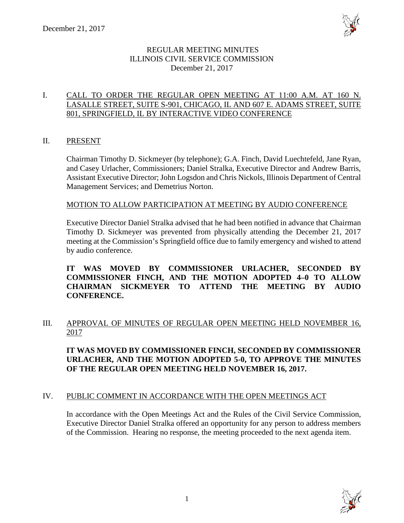

## REGULAR MEETING MINUTES ILLINOIS CIVIL SERVICE COMMISSION December 21, 2017

## I. CALL TO ORDER THE REGULAR OPEN MEETING AT 11:00 A.M. AT 160 N. LASALLE STREET, SUITE S-901, CHICAGO, IL AND 607 E. ADAMS STREET, SUITE 801, SPRINGFIELD, IL BY INTERACTIVE VIDEO CONFERENCE

## II. PRESENT

Chairman Timothy D. Sickmeyer (by telephone); G.A. Finch, David Luechtefeld, Jane Ryan, and Casey Urlacher, Commissioners; Daniel Stralka, Executive Director and Andrew Barris, Assistant Executive Director; John Logsdon and Chris Nickols, Illinois Department of Central Management Services; and Demetrius Norton.

## MOTION TO ALLOW PARTICIPATION AT MEETING BY AUDIO CONFERENCE

Executive Director Daniel Stralka advised that he had been notified in advance that Chairman Timothy D. Sickmeyer was prevented from physically attending the December 21, 2017 meeting at the Commission's Springfield office due to family emergency and wished to attend by audio conference.

**IT WAS MOVED BY COMMISSIONER URLACHER, SECONDED BY COMMISSIONER FINCH, AND THE MOTION ADOPTED 4–0 TO ALLOW CHAIRMAN SICKMEYER TO ATTEND THE MEETING BY AUDIO CONFERENCE.**

III. APPROVAL OF MINUTES OF REGULAR OPEN MEETING HELD NOVEMBER 16, 2017

**IT WAS MOVED BY COMMISSIONER FINCH, SECONDED BY COMMISSIONER URLACHER, AND THE MOTION ADOPTED 5-0, TO APPROVE THE MINUTES OF THE REGULAR OPEN MEETING HELD NOVEMBER 16, 2017.**

## IV. PUBLIC COMMENT IN ACCORDANCE WITH THE OPEN MEETINGS ACT

In accordance with the Open Meetings Act and the Rules of the Civil Service Commission, Executive Director Daniel Stralka offered an opportunity for any person to address members of the Commission. Hearing no response, the meeting proceeded to the next agenda item.

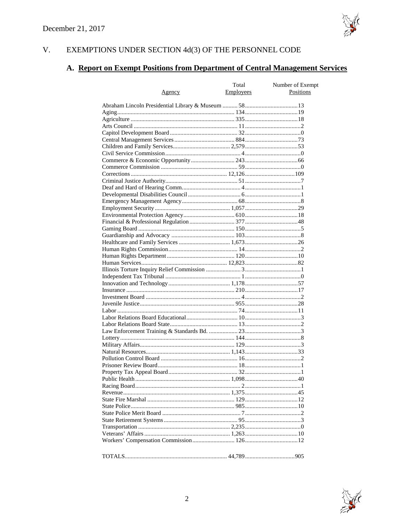

#### V. EXEMPTIONS UNDER SECTION  $4d(3)$  OF THE PERSONNEL CODE

# A. Report on Exempt Positions from Department of Central Management Services

|               | Total     | Number of Exempt |
|---------------|-----------|------------------|
| <u>Agency</u> | Employees | Positions        |
|               |           |                  |
|               |           |                  |
|               |           |                  |
|               |           |                  |
|               |           |                  |
|               |           |                  |
|               |           |                  |
|               |           |                  |
|               |           |                  |
|               |           |                  |
|               |           |                  |
|               |           |                  |
|               |           |                  |
|               |           |                  |
|               |           |                  |
|               |           |                  |
|               |           |                  |
|               |           |                  |
|               |           |                  |
|               |           |                  |
|               |           |                  |
|               |           |                  |
|               |           |                  |
|               |           |                  |
|               |           |                  |
|               |           |                  |
|               |           |                  |
|               |           |                  |
|               |           |                  |
|               |           |                  |
|               |           |                  |
|               |           |                  |
|               |           |                  |
|               |           |                  |
|               |           |                  |
|               |           |                  |
|               |           |                  |
|               |           |                  |
|               |           |                  |
|               |           |                  |
|               |           |                  |
|               |           |                  |
|               |           |                  |
|               |           |                  |
|               |           |                  |
|               |           |                  |
|               |           |                  |
|               |           |                  |
|               |           |                  |
|               |           |                  |
|               |           |                  |
|               |           |                  |
|               |           |                  |
|               |           |                  |
|               |           |                  |
|               |           |                  |

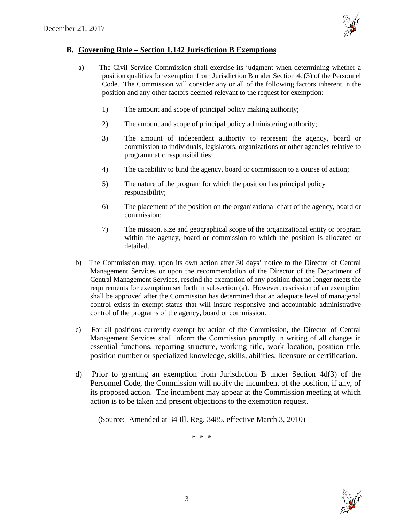

## **B. Governing Rule – Section 1.142 Jurisdiction B Exemptions**

- a) The Civil Service Commission shall exercise its judgment when determining whether a position qualifies for exemption from Jurisdiction B under Section 4d(3) of the Personnel Code. The Commission will consider any or all of the following factors inherent in the position and any other factors deemed relevant to the request for exemption:
	- 1) The amount and scope of principal policy making authority;
	- 2) The amount and scope of principal policy administering authority;
	- 3) The amount of independent authority to represent the agency, board or commission to individuals, legislators, organizations or other agencies relative to programmatic responsibilities;
	- 4) The capability to bind the agency, board or commission to a course of action;
	- 5) The nature of the program for which the position has principal policy responsibility;
	- 6) The placement of the position on the organizational chart of the agency, board or commission;
	- 7) The mission, size and geographical scope of the organizational entity or program within the agency, board or commission to which the position is allocated or detailed.
- b) The Commission may, upon its own action after 30 days' notice to the Director of Central Management Services or upon the recommendation of the Director of the Department of Central Management Services, rescind the exemption of any position that no longer meets the requirements for exemption set forth in subsection (a). However, rescission of an exemption shall be approved after the Commission has determined that an adequate level of managerial control exists in exempt status that will insure responsive and accountable administrative control of the programs of the agency, board or commission.
- c) For all positions currently exempt by action of the Commission, the Director of Central Management Services shall inform the Commission promptly in writing of all changes in essential functions, reporting structure, working title, work location, position title, position number or specialized knowledge, skills, abilities, licensure or certification.
- d) Prior to granting an exemption from Jurisdiction B under Section 4d(3) of the Personnel Code, the Commission will notify the incumbent of the position, if any, of its proposed action. The incumbent may appear at the Commission meeting at which action is to be taken and present objections to the exemption request.

(Source: Amended at 34 Ill. Reg. 3485, effective March 3, 2010)

\* \* \*

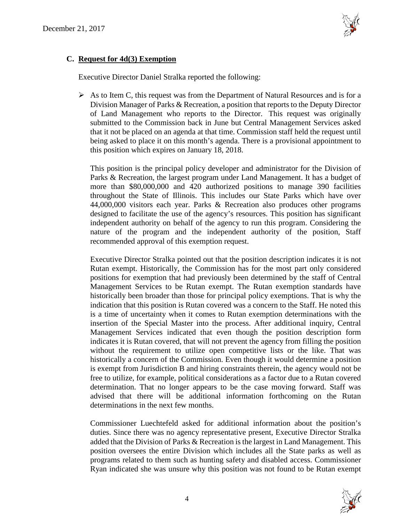

# **C. Request for 4d(3) Exemption**

Executive Director Daniel Stralka reported the following:

 $\triangleright$  As to Item C, this request was from the Department of Natural Resources and is for a Division Manager of Parks & Recreation, a position that reports to the Deputy Director of Land Management who reports to the Director. This request was originally submitted to the Commission back in June but Central Management Services asked that it not be placed on an agenda at that time. Commission staff held the request until being asked to place it on this month's agenda. There is a provisional appointment to this position which expires on January 18, 2018.

This position is the principal policy developer and administrator for the Division of Parks & Recreation, the largest program under Land Management. It has a budget of more than \$80,000,000 and 420 authorized positions to manage 390 facilities throughout the State of Illinois. This includes our State Parks which have over 44,000,000 visitors each year. Parks & Recreation also produces other programs designed to facilitate the use of the agency's resources. This position has significant independent authority on behalf of the agency to run this program. Considering the nature of the program and the independent authority of the position, Staff recommended approval of this exemption request.

Executive Director Stralka pointed out that the position description indicates it is not Rutan exempt. Historically, the Commission has for the most part only considered positions for exemption that had previously been determined by the staff of Central Management Services to be Rutan exempt. The Rutan exemption standards have historically been broader than those for principal policy exemptions. That is why the indication that this position is Rutan covered was a concern to the Staff. He noted this is a time of uncertainty when it comes to Rutan exemption determinations with the insertion of the Special Master into the process. After additional inquiry, Central Management Services indicated that even though the position description form indicates it is Rutan covered, that will not prevent the agency from filling the position without the requirement to utilize open competitive lists or the like. That was historically a concern of the Commission. Even though it would determine a position is exempt from Jurisdiction B and hiring constraints therein, the agency would not be free to utilize, for example, political considerations as a factor due to a Rutan covered determination. That no longer appears to be the case moving forward. Staff was advised that there will be additional information forthcoming on the Rutan determinations in the next few months.

Commissioner Luechtefeld asked for additional information about the position's duties. Since there was no agency representative present, Executive Director Stralka added that the Division of Parks & Recreation is the largest in Land Management. This position oversees the entire Division which includes all the State parks as well as programs related to them such as hunting safety and disabled access. Commissioner Ryan indicated she was unsure why this position was not found to be Rutan exempt

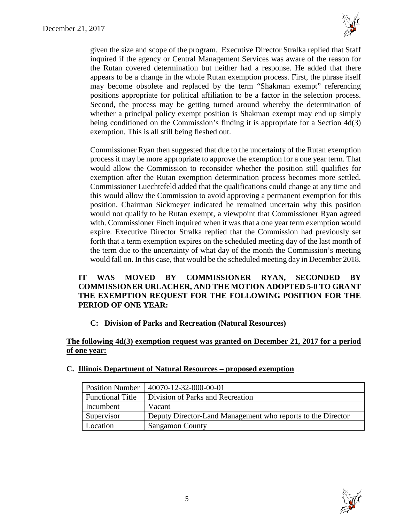

given the size and scope of the program. Executive Director Stralka replied that Staff inquired if the agency or Central Management Services was aware of the reason for the Rutan covered determination but neither had a response. He added that there appears to be a change in the whole Rutan exemption process. First, the phrase itself may become obsolete and replaced by the term "Shakman exempt" referencing positions appropriate for political affiliation to be a factor in the selection process. Second, the process may be getting turned around whereby the determination of whether a principal policy exempt position is Shakman exempt may end up simply being conditioned on the Commission's finding it is appropriate for a Section 4d(3) exemption. This is all still being fleshed out.

Commissioner Ryan then suggested that due to the uncertainty of the Rutan exemption process it may be more appropriate to approve the exemption for a one year term. That would allow the Commission to reconsider whether the position still qualifies for exemption after the Rutan exemption determination process becomes more settled. Commissioner Luechtefeld added that the qualifications could change at any time and this would allow the Commission to avoid approving a permanent exemption for this position. Chairman Sickmeyer indicated he remained uncertain why this position would not qualify to be Rutan exempt, a viewpoint that Commissioner Ryan agreed with. Commissioner Finch inquired when it was that a one year term exemption would expire. Executive Director Stralka replied that the Commission had previously set forth that a term exemption expires on the scheduled meeting day of the last month of the term due to the uncertainty of what day of the month the Commission's meeting would fall on. In this case, that would be the scheduled meeting day in December 2018.

## **IT WAS MOVED BY COMMISSIONER RYAN, SECONDED BY COMMISSIONER URLACHER, AND THE MOTION ADOPTED 5-0 TO GRANT THE EXEMPTION REQUEST FOR THE FOLLOWING POSITION FOR THE PERIOD OF ONE YEAR:**

**C: Division of Parks and Recreation (Natural Resources)**

## **The following 4d(3) exemption request was granted on December 21, 2017 for a period of one year:**

| <b>Position Number</b>  | $140070 - 12 - 32 - 000 - 00 - 01$                          |
|-------------------------|-------------------------------------------------------------|
| <b>Functional Title</b> | Division of Parks and Recreation                            |
| Incumbent               | Vacant                                                      |
| Supervisor              | Deputy Director-Land Management who reports to the Director |
| Location                | <b>Sangamon County</b>                                      |

## **C. Illinois Department of Natural Resources – proposed exemption**

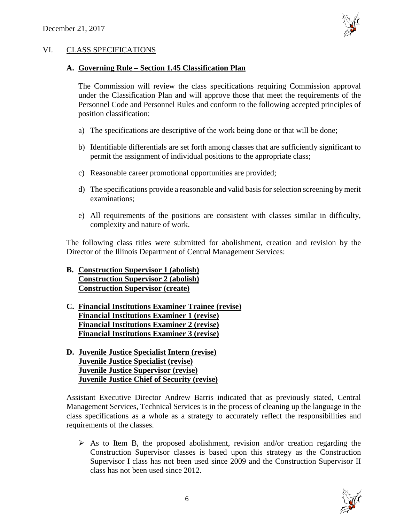

## VI. CLASS SPECIFICATIONS

#### **A. Governing Rule – Section 1.45 Classification Plan**

The Commission will review the class specifications requiring Commission approval under the Classification Plan and will approve those that meet the requirements of the Personnel Code and Personnel Rules and conform to the following accepted principles of position classification:

- a) The specifications are descriptive of the work being done or that will be done;
- b) Identifiable differentials are set forth among classes that are sufficiently significant to permit the assignment of individual positions to the appropriate class;
- c) Reasonable career promotional opportunities are provided;
- d) The specifications provide a reasonable and valid basis for selection screening by merit examinations;
- e) All requirements of the positions are consistent with classes similar in difficulty, complexity and nature of work.

The following class titles were submitted for abolishment, creation and revision by the Director of the Illinois Department of Central Management Services:

- **B. Construction Supervisor 1 (abolish) Construction Supervisor 2 (abolish) Construction Supervisor (create)**
- **C. Financial Institutions Examiner Trainee (revise) Financial Institutions Examiner 1 (revise) Financial Institutions Examiner 2 (revise) Financial Institutions Examiner 3 (revise)**
- **D. Juvenile Justice Specialist Intern (revise) Juvenile Justice Specialist (revise) Juvenile Justice Supervisor (revise) Juvenile Justice Chief of Security (revise)**

Assistant Executive Director Andrew Barris indicated that as previously stated, Central Management Services, Technical Services is in the process of cleaning up the language in the class specifications as a whole as a strategy to accurately reflect the responsibilities and requirements of the classes.

 $\triangleright$  As to Item B, the proposed abolishment, revision and/or creation regarding the Construction Supervisor classes is based upon this strategy as the Construction Supervisor I class has not been used since 2009 and the Construction Supervisor II class has not been used since 2012.

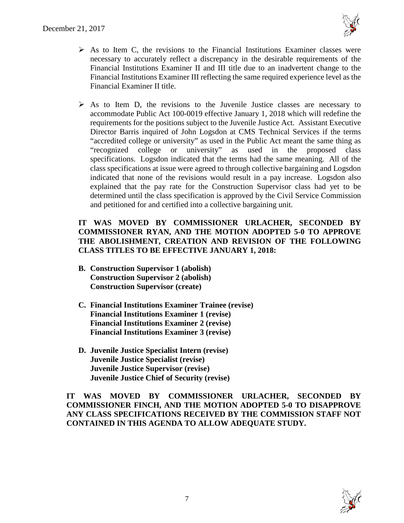

- $\triangleright$  As to Item C, the revisions to the Financial Institutions Examiner classes were necessary to accurately reflect a discrepancy in the desirable requirements of the Financial Institutions Examiner II and III title due to an inadvertent change to the Financial Institutions Examiner III reflecting the same required experience level as the Financial Examiner II title.
- $\triangleright$  As to Item D, the revisions to the Juvenile Justice classes are necessary to accommodate Public Act 100-0019 effective January 1, 2018 which will redefine the requirements for the positions subject to the Juvenile Justice Act. Assistant Executive Director Barris inquired of John Logsdon at CMS Technical Services if the terms "accredited college or university" as used in the Public Act meant the same thing as "recognized college or university" as used in the proposed class specifications. Logsdon indicated that the terms had the same meaning. All of the class specifications at issue were agreed to through collective bargaining and Logsdon indicated that none of the revisions would result in a pay increase. Logsdon also explained that the pay rate for the Construction Supervisor class had yet to be determined until the class specification is approved by the Civil Service Commission and petitioned for and certified into a collective bargaining unit.

# **IT WAS MOVED BY COMMISSIONER URLACHER, SECONDED BY COMMISSIONER RYAN, AND THE MOTION ADOPTED 5-0 TO APPROVE THE ABOLISHMENT, CREATION AND REVISION OF THE FOLLOWING CLASS TITLES TO BE EFFECTIVE JANUARY 1, 2018:**

- **B. Construction Supervisor 1 (abolish) Construction Supervisor 2 (abolish) Construction Supervisor (create)**
- **C. Financial Institutions Examiner Trainee (revise) Financial Institutions Examiner 1 (revise) Financial Institutions Examiner 2 (revise) Financial Institutions Examiner 3 (revise)**
- **D. Juvenile Justice Specialist Intern (revise) Juvenile Justice Specialist (revise) Juvenile Justice Supervisor (revise) Juvenile Justice Chief of Security (revise)**

**IT WAS MOVED BY COMMISSIONER URLACHER, SECONDED BY COMMISSIONER FINCH, AND THE MOTION ADOPTED 5-0 TO DISAPPROVE ANY CLASS SPECIFICATIONS RECEIVED BY THE COMMISSION STAFF NOT CONTAINED IN THIS AGENDA TO ALLOW ADEQUATE STUDY.** 

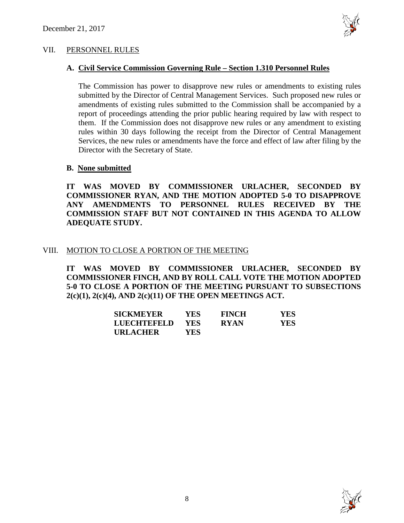

#### VII. PERSONNEL RULES

## **A. Civil Service Commission Governing Rule – Section 1.310 Personnel Rules**

The Commission has power to disapprove new rules or amendments to existing rules submitted by the Director of Central Management Services. Such proposed new rules or amendments of existing rules submitted to the Commission shall be accompanied by a report of proceedings attending the prior public hearing required by law with respect to them. If the Commission does not disapprove new rules or any amendment to existing rules within 30 days following the receipt from the Director of Central Management Services, the new rules or amendments have the force and effect of law after filing by the Director with the Secretary of State.

## **B. None submitted**

**IT WAS MOVED BY COMMISSIONER URLACHER, SECONDED BY COMMISSIONER RYAN, AND THE MOTION ADOPTED 5-0 TO DISAPPROVE ANY AMENDMENTS TO PERSONNEL RULES RECEIVED BY THE COMMISSION STAFF BUT NOT CONTAINED IN THIS AGENDA TO ALLOW ADEQUATE STUDY.** 

## VIII. MOTION TO CLOSE A PORTION OF THE MEETING

**IT WAS MOVED BY COMMISSIONER URLACHER, SECONDED BY COMMISSIONER FINCH, AND BY ROLL CALL VOTE THE MOTION ADOPTED 5-0 TO CLOSE A PORTION OF THE MEETING PURSUANT TO SUBSECTIONS 2(c)(1), 2(c)(4), AND 2(c)(11) OF THE OPEN MEETINGS ACT.**

| <b>SICKMEYER</b>   | YES. | <b>FINCH</b> | <b>YES</b> |
|--------------------|------|--------------|------------|
| <b>LUECHTEFELD</b> | YES. | <b>RYAN</b>  | <b>YES</b> |
| <b>URLACHER</b>    | YES  |              |            |

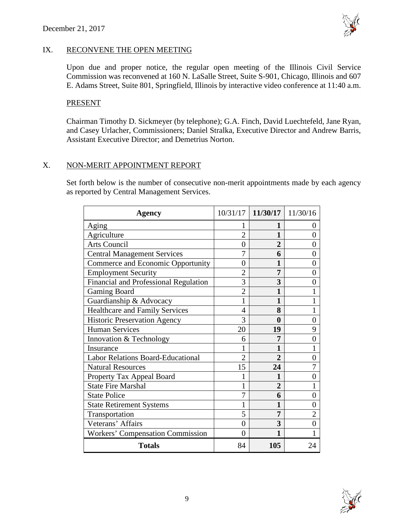

## IX. RECONVENE THE OPEN MEETING

Upon due and proper notice, the regular open meeting of the Illinois Civil Service Commission was reconvened at 160 N. LaSalle Street, Suite S-901, Chicago, Illinois and 607 E. Adams Street, Suite 801, Springfield, Illinois by interactive video conference at 11:40 a.m.

## PRESENT

Chairman Timothy D. Sickmeyer (by telephone); G.A. Finch, David Luechtefeld, Jane Ryan, and Casey Urlacher, Commissioners; Daniel Stralka, Executive Director and Andrew Barris, Assistant Executive Director; and Demetrius Norton.

# X. NON-MERIT APPOINTMENT REPORT

Set forth below is the number of consecutive non-merit appointments made by each agency as reported by Central Management Services.

| Agency                                   |                | 10/31/17 11/30/17 11/30/16 |                |
|------------------------------------------|----------------|----------------------------|----------------|
| Aging                                    |                | 1                          | $\theta$       |
| Agriculture                              | $\overline{2}$ | 1                          | $\theta$       |
| <b>Arts Council</b>                      | $\overline{0}$ | $\overline{2}$             | 0              |
| <b>Central Management Services</b>       | 7              | 6                          | 0              |
| Commerce and Economic Opportunity        | 0              | 1                          | 0              |
| <b>Employment Security</b>               | $\overline{2}$ | 7                          | 0              |
| Financial and Professional Regulation    | 3              | 3                          | 0              |
| <b>Gaming Board</b>                      | $\overline{2}$ |                            |                |
| Guardianship & Advocacy                  | 1              | 1                          |                |
| <b>Healthcare and Family Services</b>    | 4              | 8                          | 1              |
| <b>Historic Preservation Agency</b>      | 3              | $\bf{0}$                   | 0              |
| <b>Human Services</b>                    | 20             | 19                         | 9              |
| Innovation & Technology                  | 6              | 7                          | 0              |
| Insurance                                |                | 1                          |                |
| <b>Labor Relations Board-Educational</b> | $\overline{2}$ | $\mathbf{2}$               | 0              |
| <b>Natural Resources</b>                 | 15             | 24                         |                |
| Property Tax Appeal Board                |                | 1                          | $\theta$       |
| <b>State Fire Marshal</b>                | 1              | $\overline{2}$             |                |
| <b>State Police</b>                      | 7              | 6                          | 0              |
| <b>State Retirement Systems</b>          | 1              | 1                          | 0              |
| Transportation                           | 5              | 7                          | $\overline{2}$ |
| Veterans' Affairs                        | $\overline{0}$ | 3                          | $\theta$       |
| <b>Workers' Compensation Commission</b>  | 0              |                            |                |
| <b>Totals</b>                            | 84             | 105                        | 24             |

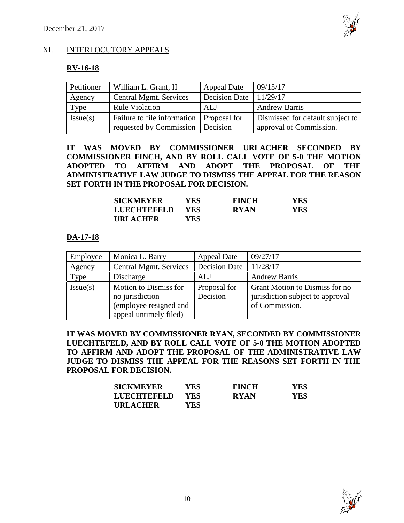

# XI. INTERLOCUTORY APPEALS

## **RV-16-18**

| Petitioner | William L. Grant, II        | <b>Appeal Date</b>   | 09/15/17                         |
|------------|-----------------------------|----------------------|----------------------------------|
| Agency     | Central Mgmt. Services      | <b>Decision Date</b> | 11/29/17                         |
| Type       | <b>Rule Violation</b>       | ALJ                  | <b>Andrew Barris</b>             |
| Issue(s)   | Failure to file information | Proposal for         | Dismissed for default subject to |
|            | requested by Commission     | Decision             | approval of Commission.          |

**IT WAS MOVED BY COMMISSIONER URLACHER SECONDED BY COMMISSIONER FINCH, AND BY ROLL CALL VOTE OF 5-0 THE MOTION ADOPTED TO AFFIRM AND ADOPT THE PROPOSAL OF THE ADMINISTRATIVE LAW JUDGE TO DISMISS THE APPEAL FOR THE REASON SET FORTH IN THE PROPOSAL FOR DECISION.**

| <b>SICKMEYER</b>   | YES        | <b>FINCH</b> | YES |
|--------------------|------------|--------------|-----|
| <b>LUECHTEFELD</b> | <b>YES</b> | <b>RYAN</b>  | YES |
| <b>URLACHER</b>    | YES        |              |     |

## **DA-17-18**

| Employee | Monica L. Barry                                                                              | <b>Appeal Date</b>       | 09/27/17                                                                             |
|----------|----------------------------------------------------------------------------------------------|--------------------------|--------------------------------------------------------------------------------------|
| Agency   | <b>Central Mgmt. Services</b>                                                                | <b>Decision Date</b>     | 11/28/17                                                                             |
| Type     | Discharge                                                                                    | ALJ                      | <b>Andrew Barris</b>                                                                 |
| Issue(s) | Motion to Dismiss for<br>no jurisdiction<br>(employee resigned and<br>appeal untimely filed) | Proposal for<br>Decision | Grant Motion to Dismiss for no<br>jurisdiction subject to approval<br>of Commission. |

**IT WAS MOVED BY COMMISSIONER RYAN, SECONDED BY COMMISSIONER LUECHTEFELD, AND BY ROLL CALL VOTE OF 5-0 THE MOTION ADOPTED TO AFFIRM AND ADOPT THE PROPOSAL OF THE ADMINISTRATIVE LAW JUDGE TO DISMISS THE APPEAL FOR THE REASONS SET FORTH IN THE PROPOSAL FOR DECISION.**

| <b>SICKMEYER</b> | YES. | <b>FINCH</b> | <b>YES</b> |
|------------------|------|--------------|------------|
| LUECHTEFELD      | YES  | <b>RYAN</b>  | <b>YES</b> |
| <b>URLACHER</b>  | YES. |              |            |

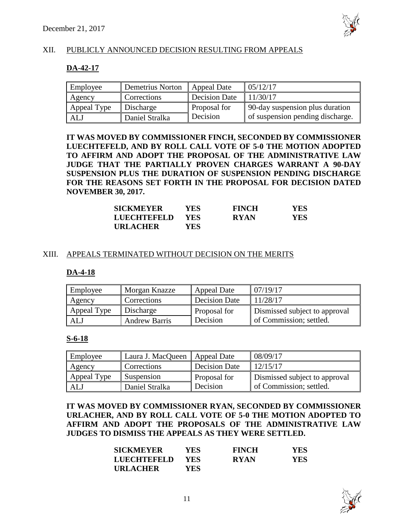

# XII. PUBLICLY ANNOUNCED DECISION RESULTING FROM APPEALS

## **DA-42-17**

| Employee    | Demetrius Norton            | Appeal Date   | 05/12/17                         |
|-------------|-----------------------------|---------------|----------------------------------|
| Agency      | Corrections                 | Decision Date | 11/30/17                         |
| Appeal Type | Discharge                   | Proposal for  | 90-day suspension plus duration  |
| ALJ         | <sup>1</sup> Daniel Stralka | Decision      | of suspension pending discharge. |

**IT WAS MOVED BY COMMISSIONER FINCH, SECONDED BY COMMISSIONER LUECHTEFELD, AND BY ROLL CALL VOTE OF 5-0 THE MOTION ADOPTED TO AFFIRM AND ADOPT THE PROPOSAL OF THE ADMINISTRATIVE LAW JUDGE THAT THE PARTIALLY PROVEN CHARGES WARRANT A 90-DAY SUSPENSION PLUS THE DURATION OF SUSPENSION PENDING DISCHARGE FOR THE REASONS SET FORTH IN THE PROPOSAL FOR DECISION DATED NOVEMBER 30, 2017.**

| <b>SICKMEYER</b> | YES. | <b>FINCH</b> | <b>YES</b> |
|------------------|------|--------------|------------|
| LUECHTEFELD      | YES. | <b>RYAN</b>  | <b>YES</b> |
| <b>URLACHER</b>  | YES  |              |            |

#### XIII. APPEALS TERMINATED WITHOUT DECISION ON THE MERITS

#### **DA-4-18**

| Employee    | <b>Morgan Knazze</b> | Appeal Date   | 07/19/17                      |
|-------------|----------------------|---------------|-------------------------------|
| Agency      | Corrections          | Decision Date | 11/28/17                      |
| Appeal Type | Discharge            | Proposal for  | Dismissed subject to approval |
| ALJ         | <b>Andrew Barris</b> | Decision      | of Commission; settled.       |

#### **S-6-18**

| Employee    | Laura J. MacQueen  | Appeal Date          | 08/09/17                      |
|-------------|--------------------|----------------------|-------------------------------|
| Agency      | <b>Corrections</b> | <b>Decision Date</b> | 12/15/17                      |
| Appeal Type | Suspension         | Proposal for         | Dismissed subject to approval |
| ALJ         | Daniel Stralka     | Decision             | of Commission; settled.       |

**IT WAS MOVED BY COMMISSIONER RYAN, SECONDED BY COMMISSIONER URLACHER, AND BY ROLL CALL VOTE OF 5-0 THE MOTION ADOPTED TO AFFIRM AND ADOPT THE PROPOSALS OF THE ADMINISTRATIVE LAW JUDGES TO DISMISS THE APPEALS AS THEY WERE SETTLED.**

| <b>SICKMEYER</b> | YES.       | <b>FINCH</b> | <b>YES</b> |
|------------------|------------|--------------|------------|
| LUECHTEFELD      | <b>YES</b> | <b>RYAN</b>  | YES.       |
| <b>URLACHER</b>  | YES.       |              |            |

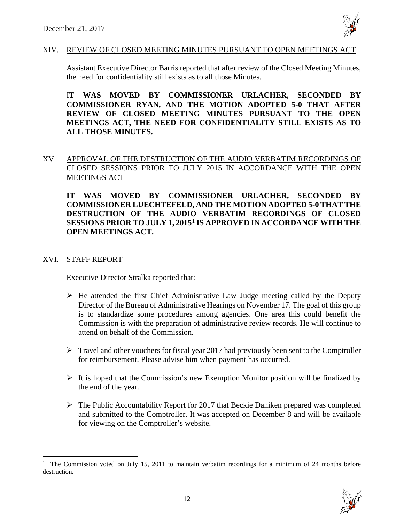

#### XIV. REVIEW OF CLOSED MEETING MINUTES PURSUANT TO OPEN MEETINGS ACT

Assistant Executive Director Barris reported that after review of the Closed Meeting Minutes, the need for confidentiality still exists as to all those Minutes.

I**T WAS MOVED BY COMMISSIONER URLACHER, SECONDED BY COMMISSIONER RYAN, AND THE MOTION ADOPTED 5-0 THAT AFTER REVIEW OF CLOSED MEETING MINUTES PURSUANT TO THE OPEN MEETINGS ACT, THE NEED FOR CONFIDENTIALITY STILL EXISTS AS TO ALL THOSE MINUTES.**

# XV. APPROVAL OF THE DESTRUCTION OF THE AUDIO VERBATIM RECORDINGS OF CLOSED SESSIONS PRIOR TO JULY 2015 IN ACCORDANCE WITH THE OPEN MEETINGS ACT

**IT WAS MOVED BY COMMISSIONER URLACHER, SECONDED BY COMMISSIONER LUECHTEFELD, AND THE MOTION ADOPTED 5-0 THAT THE DESTRUCTION OF THE AUDIO VERBATIM RECORDINGS OF CLOSED SESSIONS PRIOR TO JULY 1, 2015[1](#page-11-0) IS APPROVED IN ACCORDANCE WITH THE OPEN MEETINGS ACT.**

## XVI. STAFF REPORT

Executive Director Stralka reported that:

- $\triangleright$  He attended the first Chief Administrative Law Judge meeting called by the Deputy Director of the Bureau of Administrative Hearings on November 17. The goal of this group is to standardize some procedures among agencies. One area this could benefit the Commission is with the preparation of administrative review records. He will continue to attend on behalf of the Commission.
- $\triangleright$  Travel and other vouchers for fiscal year 2017 had previously been sent to the Comptroller for reimbursement. Please advise him when payment has occurred.
- $\triangleright$  It is hoped that the Commission's new Exemption Monitor position will be finalized by the end of the year.
- $\triangleright$  The Public Accountability Report for 2017 that Beckie Daniken prepared was completed and submitted to the Comptroller. It was accepted on December 8 and will be available for viewing on the Comptroller's website.

<span id="page-11-0"></span><sup>|&</sup>lt;br>|<br>| <sup>1</sup> The Commission voted on July 15, 2011 to maintain verbatim recordings for a minimum of 24 months before destruction.